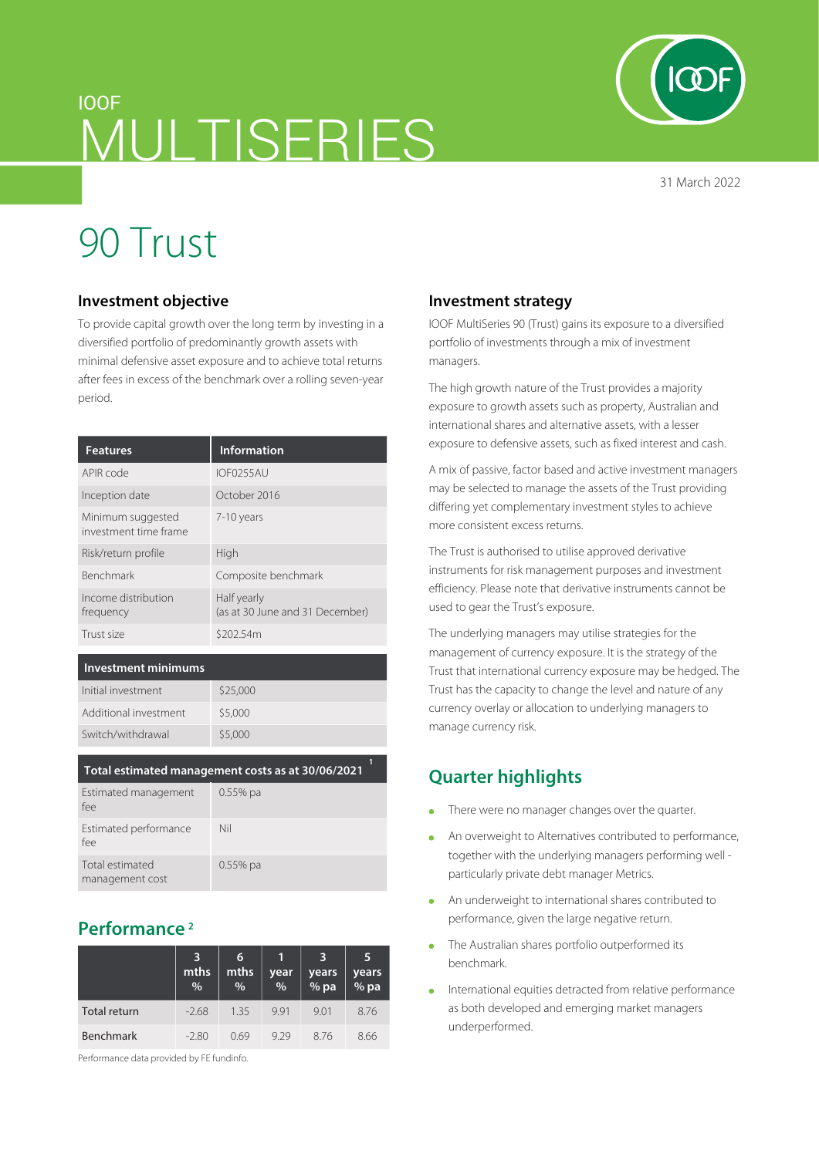## IOOF MULTISERIES

31 March 2022

# 90 Trust

#### **Investment objective**

To provide capital growth over the long term by investing in a diversified portfolio of predominantly growth assets with minimal defensive asset exposure and to achieve total returns after fees in excess of the benchmark over a rolling seven-year period.

| <b>Features</b>                            | <b>Information</b>                             |
|--------------------------------------------|------------------------------------------------|
| APIR code                                  | <b>IOF0255AU</b>                               |
| Inception date                             | October 2016                                   |
| Minimum suggested<br>investment time frame | 7-10 years                                     |
| Risk/return profile                        | High                                           |
| <b>Benchmark</b>                           | Composite benchmark                            |
| Income distribution<br>frequency           | Half yearly<br>(as at 30 June and 31 December) |
| Trust size                                 | \$202.54m                                      |

#### **Investment minimums**

| Initial investment    | \$25,000 |
|-----------------------|----------|
| Additional investment | \$5,000  |
| Switch/withdrawal     | \$5,000  |

| Total estimated management costs as at 30/06/2021 |            |  |
|---------------------------------------------------|------------|--|
| Estimated management<br>fee                       | $0.55%$ pa |  |
| Estimated performance<br>fee                      | Nil        |  |
| Total estimated<br>management cost                | $0.55%$ pa |  |

### **Performance 2**

|                     | 3<br>mths<br>% | 6<br>mths<br>% | year<br>% | 3<br>years<br>$%$ pa | 5<br>years<br><sup>9</sup> % pa |
|---------------------|----------------|----------------|-----------|----------------------|---------------------------------|
| <b>Total return</b> | $-2.68$        | 1.35           | 991       | 9.01                 | 8.76                            |
| <b>Benchmark</b>    | $-2.80$        | 069            | 929       | 876                  | 8.66                            |

Performance data provided by FE fundinfo.

#### **Investment strategy**

IOOF MultiSeries 90 (Trust) gains its exposure to a diversified portfolio of investments through a mix of investment managers.

The high growth nature of the Trust provides a majority exposure to growth assets such as property, Australian and international shares and alternative assets, with a lesser exposure to defensive assets, such as fixed interest and cash.

A mix of passive, factor based and active investment managers may be selected to manage the assets of the Trust providing differing yet complementary investment styles to achieve more consistent excess returns.

The Trust is authorised to utilise approved derivative instruments for risk management purposes and investment efficiency. Please note that derivative instruments cannot be used to gear the Trust's exposure.

The underlying managers may utilise strategies for the management of currency exposure. It is the strategy of the Trust that international currency exposure may be hedged. The Trust has the capacity to change the level and nature of any currency overlay or allocation to underlying managers to manage currency risk.

### **Quarter highlights**

- There were no manager changes over the quarter.  $\Delta$
- An overweight to Alternatives contributed to performance, together with the underlying managers performing well particularly private debt manager Metrics.
- An underweight to international shares contributed to  $\bullet$ performance, given the large negative return.
- The Australian shares portfolio outperformed its benchmark.
- International equities detracted from relative performance as both developed and emerging market managers underperformed.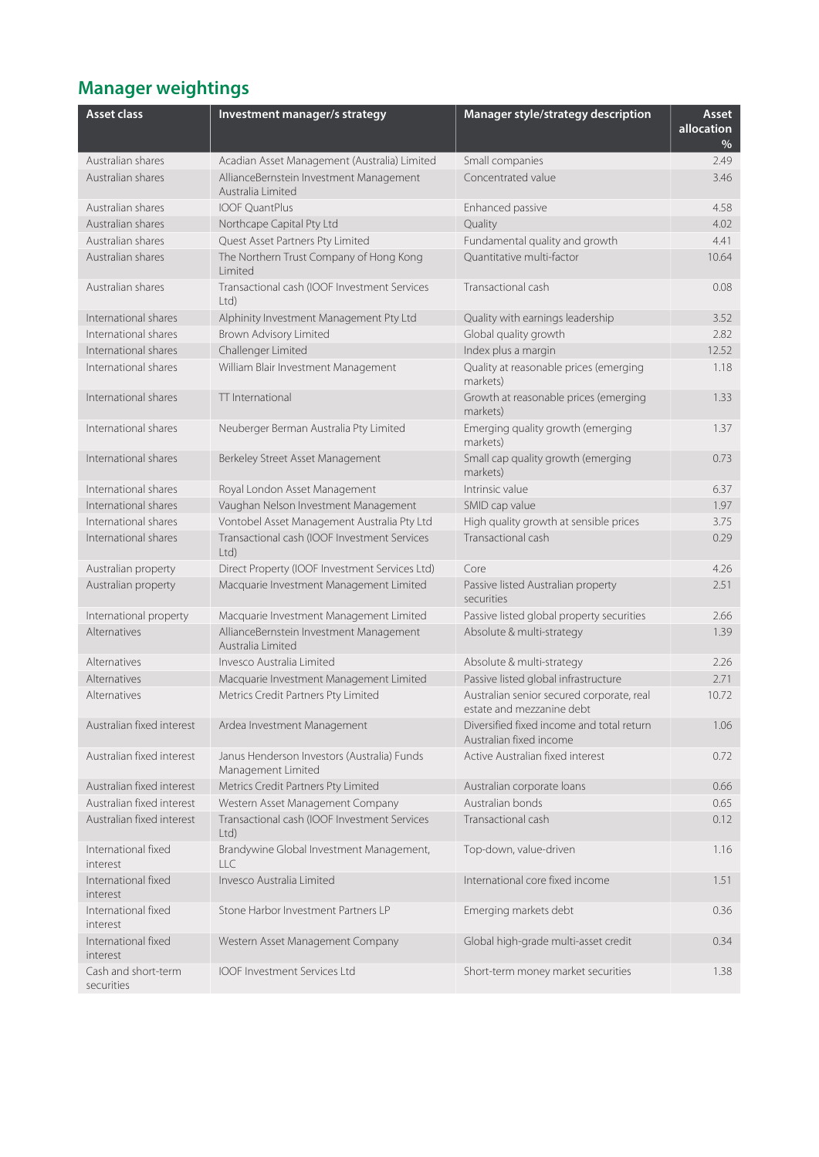## **Manager weightings**

| <b>Asset class</b>                | Investment manager/s strategy                                     | Manager style/strategy description                                     | Asset<br>allocation<br>$\%$ |
|-----------------------------------|-------------------------------------------------------------------|------------------------------------------------------------------------|-----------------------------|
| Australian shares                 | Acadian Asset Management (Australia) Limited                      | Small companies                                                        | 2.49                        |
| Australian shares                 | AllianceBernstein Investment Management<br>Australia Limited      | Concentrated value                                                     | 3.46                        |
| Australian shares                 | <b>IOOF OuantPlus</b>                                             | Enhanced passive                                                       | 4.58                        |
| Australian shares                 | Northcape Capital Pty Ltd                                         | Quality                                                                | 4.02                        |
| Australian shares                 | Quest Asset Partners Pty Limited                                  | Fundamental quality and growth                                         | 4.41                        |
| Australian shares                 | The Northern Trust Company of Hong Kong<br>Limited                | Ouantitative multi-factor                                              | 10.64                       |
| Australian shares                 | Transactional cash (IOOF Investment Services<br>Ltd               | Transactional cash                                                     | 0.08                        |
| International shares              | Alphinity Investment Management Pty Ltd                           | Quality with earnings leadership                                       | 3.52                        |
| International shares              | Brown Advisory Limited                                            | Global quality growth                                                  | 2.82                        |
| International shares              | Challenger Limited                                                | Index plus a margin                                                    | 12.52                       |
| International shares              | William Blair Investment Management                               | Quality at reasonable prices (emerging<br>markets)                     | 1.18                        |
| International shares              | TT International                                                  | Growth at reasonable prices (emerging<br>markets)                      | 1.33                        |
| International shares              | Neuberger Berman Australia Pty Limited                            | Emerging quality growth (emerging<br>markets)                          | 1.37                        |
| International shares              | Berkeley Street Asset Management                                  | Small cap quality growth (emerging<br>markets)                         | 0.73                        |
| International shares              | Royal London Asset Management                                     | Intrinsic value                                                        | 6.37                        |
| International shares              | Vaughan Nelson Investment Management                              | SMID cap value                                                         | 1.97                        |
| International shares              | Vontobel Asset Management Australia Pty Ltd                       | High quality growth at sensible prices                                 | 3.75                        |
| International shares              | Transactional cash (IOOF Investment Services<br>Ltd)              | Transactional cash                                                     | 0.29                        |
| Australian property               | Direct Property (IOOF Investment Services Ltd)                    | Core                                                                   | 4.26                        |
| Australian property               | Macquarie Investment Management Limited                           | Passive listed Australian property<br>securities                       | 2.51                        |
| International property            | Macquarie Investment Management Limited                           | Passive listed global property securities                              | 2.66                        |
| <b>Alternatives</b>               | AllianceBernstein Investment Management<br>Australia Limited      | Absolute & multi-strategy                                              | 1.39                        |
| Alternatives                      | Invesco Australia Limited                                         | Absolute & multi-strategy                                              | 2.26                        |
| Alternatives                      | Macquarie Investment Management Limited                           | Passive listed global infrastructure                                   | 2.71                        |
| Alternatives                      | Metrics Credit Partners Pty Limited                               | Australian senior secured corporate, real<br>estate and mezzanine debt | 10.72                       |
| Australian fixed interest         | Ardea Investment Management                                       | Diversified fixed income and total return<br>Australian fixed income   | 1.06                        |
| Australian fixed interest         | Janus Henderson Investors (Australia) Funds<br>Management Limited | Active Australian fixed interest                                       | 0.72                        |
| Australian fixed interest         | Metrics Credit Partners Pty Limited                               | Australian corporate loans                                             | 0.66                        |
| Australian fixed interest         | Western Asset Management Company                                  | Australian bonds                                                       | 0.65                        |
| Australian fixed interest         | Transactional cash (IOOF Investment Services<br>$Ltd$ )           | Transactional cash                                                     | 0.12                        |
| International fixed<br>interest   | Brandywine Global Investment Management,<br>LLC                   | Top-down, value-driven                                                 | 1.16                        |
| International fixed<br>interest   | Invesco Australia Limited                                         | International core fixed income                                        | 1.51                        |
| International fixed<br>interest   | Stone Harbor Investment Partners LP                               | Emerging markets debt                                                  | 0.36                        |
| International fixed<br>interest   | Western Asset Management Company                                  | Global high-grade multi-asset credit                                   | 0.34                        |
| Cash and short-term<br>securities | IOOF Investment Services Ltd                                      | Short-term money market securities                                     | 1.38                        |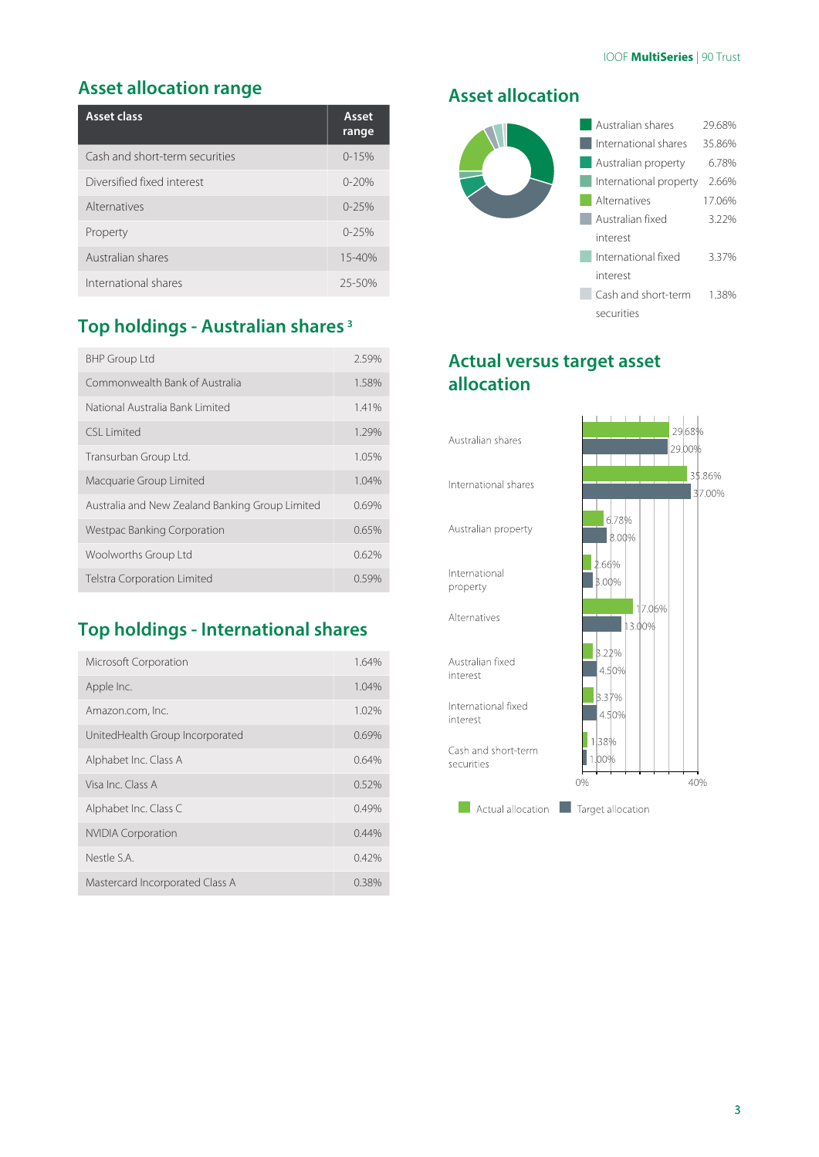### **Asset allocation range**

| Asset class                    | Asset<br>range |
|--------------------------------|----------------|
| Cash and short-term securities | $0 - 15%$      |
| Diversified fixed interest     | $0 - 20%$      |
| Alternatives                   | $0 - 25%$      |
| Property                       | $0 - 25%$      |
| Australian shares              | $15 - 40%$     |
| International shares           | 25-50%         |

### **Top holdings - Australian shares 3**

| <b>BHP Group Ltd</b>                            | 2.59% |
|-------------------------------------------------|-------|
| Commonwealth Bank of Australia                  | 1.58% |
| National Australia Bank Limited                 | 1.41% |
| CSI Limited                                     | 1.29% |
| Transurban Group Ltd.                           | 1.05% |
| Macquarie Group Limited                         | 1.04% |
| Australia and New Zealand Banking Group Limited | 0.69% |
| Westpac Banking Corporation                     | 0.65% |
| Woolworths Group Ltd                            | 0.62% |
| <b>Telstra Corporation Limited</b>              | 0.59% |

### **Top holdings - International shares**

| Microsoft Corporation           | 1.64% |
|---------------------------------|-------|
| Apple Inc.                      | 1.04% |
| Amazon.com, Inc.                | 1.02% |
| UnitedHealth Group Incorporated | 0.69% |
| Alphabet Inc. Class A           | 0.64% |
| Visa Inc. Class A               | 0.52% |
| Alphabet Inc. Class C           | 0.49% |
| <b>NVIDIA Corporation</b>       | 0.44% |
| Nestle S.A.                     | 0.42% |
| Mastercard Incorporated Class A | 0.38% |

#### **Asset allocation**



### **Actual versus target asset allocation**